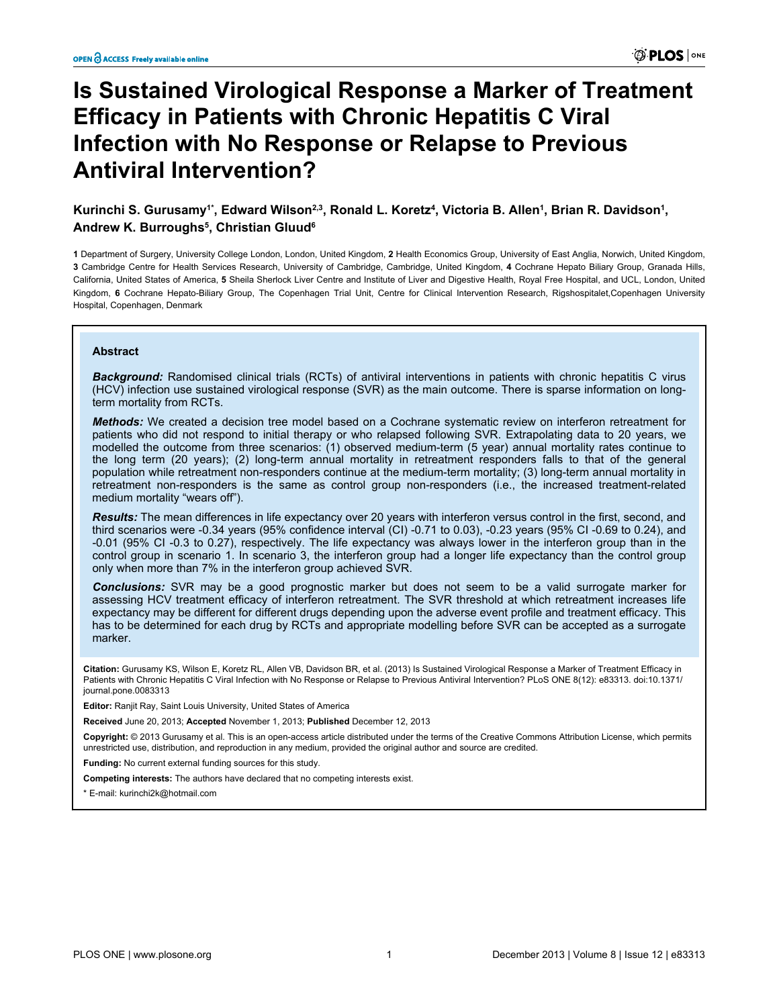# **Is Sustained Virological Response a Marker of Treatment Efficacy in Patients with Chronic Hepatitis C Viral Infection with No Response or Relapse to Previous Antiviral Intervention?**

## **Kurinchi S. Gurusamy1\*, Edward Wilson2,3, Ronald L. Koretz<sup>4</sup> , Victoria B. Allen<sup>1</sup> , Brian R. Davidson<sup>1</sup> , Andrew K. Burroughs<sup>5</sup> , Christian Gluud<sup>6</sup>**

**1** Department of Surgery, University College London, London, United Kingdom, **2** Health Economics Group, University of East Anglia, Norwich, United Kingdom, **3** Cambridge Centre for Health Services Research, University of Cambridge, Cambridge, United Kingdom, **4** Cochrane Hepato Biliary Group, Granada Hills, California, United States of America, **5** Sheila Sherlock Liver Centre and Institute of Liver and Digestive Health, Royal Free Hospital, and UCL, London, United Kingdom, **6** Cochrane Hepato-Biliary Group, The Copenhagen Trial Unit, Centre for Clinical Intervention Research, Rigshospitalet,Copenhagen University Hospital, Copenhagen, Denmark

## **Abstract**

*Background:* Randomised clinical trials (RCTs) of antiviral interventions in patients with chronic hepatitis C virus (HCV) infection use sustained virological response (SVR) as the main outcome. There is sparse information on longterm mortality from RCTs.

*Methods:* We created a decision tree model based on a Cochrane systematic review on interferon retreatment for patients who did not respond to initial therapy or who relapsed following SVR. Extrapolating data to 20 years, we modelled the outcome from three scenarios: (1) observed medium-term (5 year) annual mortality rates continue to the long term (20 years); (2) long-term annual mortality in retreatment responders falls to that of the general population while retreatment non-responders continue at the medium-term mortality; (3) long-term annual mortality in retreatment non-responders is the same as control group non-responders (i.e., the increased treatment-related medium mortality "wears off").

*Results:* The mean differences in life expectancy over 20 years with interferon versus control in the first, second, and third scenarios were -0.34 years (95% confidence interval (CI) -0.71 to 0.03), -0.23 years (95% CI -0.69 to 0.24), and -0.01 (95% CI -0.3 to 0.27), respectively. The life expectancy was always lower in the interferon group than in the control group in scenario 1. In scenario 3, the interferon group had a longer life expectancy than the control group only when more than 7% in the interferon group achieved SVR.

*Conclusions:* SVR may be a good prognostic marker but does not seem to be a valid surrogate marker for assessing HCV treatment efficacy of interferon retreatment. The SVR threshold at which retreatment increases life expectancy may be different for different drugs depending upon the adverse event profile and treatment efficacy. This has to be determined for each drug by RCTs and appropriate modelling before SVR can be accepted as a surrogate marker.

**Citation:** Gurusamy KS, Wilson E, Koretz RL, Allen VB, Davidson BR, et al. (2013) Is Sustained Virological Response a Marker of Treatment Efficacy in Patients with Chronic Hepatitis C Viral Infection with No Response or Relapse to Previous Antiviral Intervention? PLoS ONE 8(12): e83313. doi:10.1371/ journal.pone.0083313

**Editor:** Ranjit Ray, Saint Louis University, United States of America

**Received** June 20, 2013; **Accepted** November 1, 2013; **Published** December 12, 2013

**Copyright:** © 2013 Gurusamy et al. This is an open-access article distributed under the terms of the [Creative Commons Attribution License](http://creativecommons.org/licenses/by/4.0/), which permits unrestricted use, distribution, and reproduction in any medium, provided the original author and source are credited.

**Funding:** No current external funding sources for this study.

**Competing interests:** The authors have declared that no competing interests exist.

\* E-mail: kurinchi2k@hotmail.com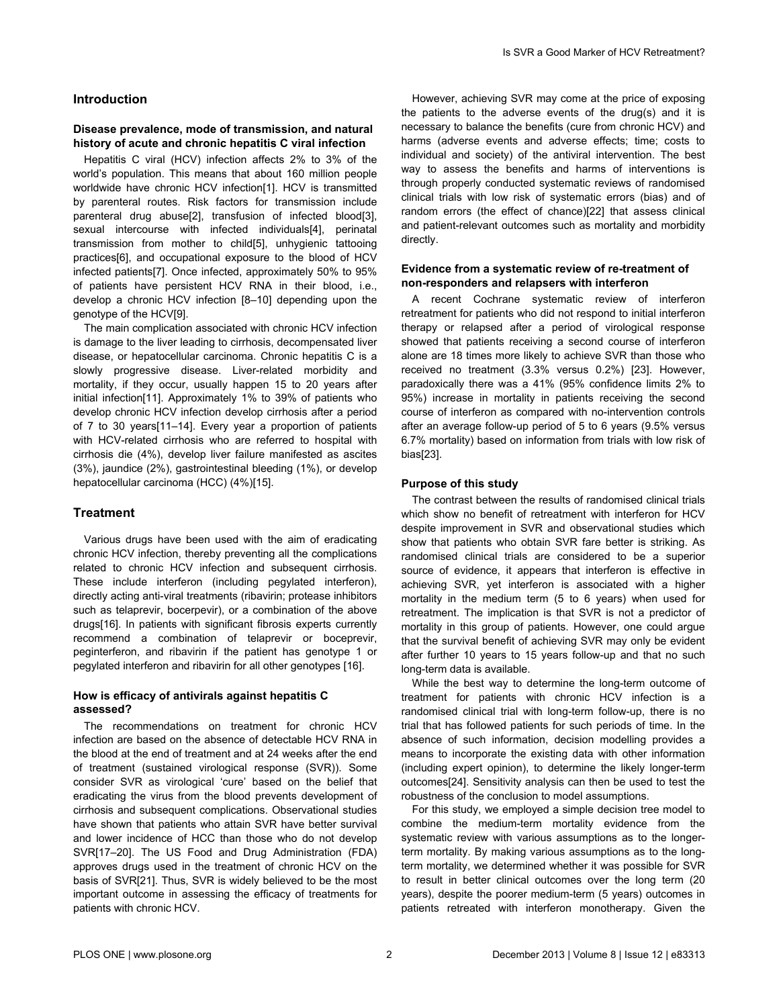## **Introduction**

## **Disease prevalence, mode of transmission, and natural history of acute and chronic hepatitis C viral infection**

Hepatitis C viral (HCV) infection affects 2% to 3% of the world's population. This means that about 160 million people worldwide have chronic HCV infection[\[1\]](#page-9-0). HCV is transmitted by parenteral routes. Risk factors for transmission include parenteral drug abuse[[2\]](#page-9-0), transfusion of infected blood[\[3\]](#page-9-0), sexual intercourse with infected individuals[[4\]](#page-9-0), perinatal transmission from mother to child[\[5\]](#page-9-0), unhygienic tattooing practices[[6\]](#page-9-0), and occupational exposure to the blood of HCV infected patients[[7](#page-9-0)]. Once infected, approximately 50% to 95% of patients have persistent HCV RNA in their blood, i.e., develop a chronic HCV infection [\[8](#page-9-0)–[10](#page-9-0)] depending upon the genotype of the HCV[[9\]](#page-9-0).

The main complication associated with chronic HCV infection is damage to the liver leading to cirrhosis, decompensated liver disease, or hepatocellular carcinoma. Chronic hepatitis C is a slowly progressive disease. Liver-related morbidity and mortality, if they occur, usually happen 15 to 20 years after initial infection[[11](#page-9-0)]. Approximately 1% to 39% of patients who develop chronic HCV infection develop cirrhosis after a period of 7 to 30 years[\[11–14](#page-9-0)]. Every year a proportion of patients with HCV-related cirrhosis who are referred to hospital with cirrhosis die (4%), develop liver failure manifested as ascites (3%), jaundice (2%), gastrointestinal bleeding (1%), or develop hepatocellular carcinoma (HCC) (4%)[\[15\]](#page-9-0).

## **Treatment**

Various drugs have been used with the aim of eradicating chronic HCV infection, thereby preventing all the complications related to chronic HCV infection and subsequent cirrhosis. These include interferon (including pegylated interferon), directly acting anti-viral treatments (ribavirin; protease inhibitors such as telaprevir, bocerpevir), or a combination of the above drugs[\[16\]](#page-9-0). In patients with significant fibrosis experts currently recommend a combination of telaprevir or boceprevir, peginterferon, and ribavirin if the patient has genotype 1 or pegylated interferon and ribavirin for all other genotypes [[16](#page-9-0)].

## **How is efficacy of antivirals against hepatitis C assessed?**

The recommendations on treatment for chronic HCV infection are based on the absence of detectable HCV RNA in the blood at the end of treatment and at 24 weeks after the end of treatment (sustained virological response (SVR)). Some consider SVR as virological 'cure' based on the belief that eradicating the virus from the blood prevents development of cirrhosis and subsequent complications. Observational studies have shown that patients who attain SVR have better survival and lower incidence of HCC than those who do not develop SVR[\[17–20](#page-9-0)]. The US Food and Drug Administration (FDA) approves drugs used in the treatment of chronic HCV on the basis of SVR[\[21](#page-9-0)]. Thus, SVR is widely believed to be the most important outcome in assessing the efficacy of treatments for patients with chronic HCV.

However, achieving SVR may come at the price of exposing the patients to the adverse events of the drug(s) and it is necessary to balance the benefits (cure from chronic HCV) and harms (adverse events and adverse effects; time; costs to individual and society) of the antiviral intervention. The best way to assess the benefits and harms of interventions is through properly conducted systematic reviews of randomised clinical trials with low risk of systematic errors (bias) and of random errors (the effect of chance)[\[22\]](#page-9-0) that assess clinical and patient-relevant outcomes such as mortality and morbidity directly.

## **Evidence from a systematic review of re-treatment of non-responders and relapsers with interferon**

A recent Cochrane systematic review of interferon retreatment for patients who did not respond to initial interferon therapy or relapsed after a period of virological response showed that patients receiving a second course of interferon alone are 18 times more likely to achieve SVR than those who received no treatment (3.3% versus 0.2%) [[23](#page-9-0)]. However, paradoxically there was a 41% (95% confidence limits 2% to 95%) increase in mortality in patients receiving the second course of interferon as compared with no-intervention controls after an average follow-up period of 5 to 6 years (9.5% versus 6.7% mortality) based on information from trials with low risk of bias[\[23\]](#page-9-0).

## **Purpose of this study**

The contrast between the results of randomised clinical trials which show no benefit of retreatment with interferon for HCV despite improvement in SVR and observational studies which show that patients who obtain SVR fare better is striking. As randomised clinical trials are considered to be a superior source of evidence, it appears that interferon is effective in achieving SVR, yet interferon is associated with a higher mortality in the medium term (5 to 6 years) when used for retreatment. The implication is that SVR is not a predictor of mortality in this group of patients. However, one could argue that the survival benefit of achieving SVR may only be evident after further 10 years to 15 years follow-up and that no such long-term data is available.

While the best way to determine the long-term outcome of treatment for patients with chronic HCV infection is a randomised clinical trial with long-term follow-up, there is no trial that has followed patients for such periods of time. In the absence of such information, decision modelling provides a means to incorporate the existing data with other information (including expert opinion), to determine the likely longer-term outcomes[[24](#page-9-0)]. Sensitivity analysis can then be used to test the robustness of the conclusion to model assumptions.

For this study, we employed a simple decision tree model to combine the medium-term mortality evidence from the systematic review with various assumptions as to the longerterm mortality. By making various assumptions as to the longterm mortality, we determined whether it was possible for SVR to result in better clinical outcomes over the long term (20 years), despite the poorer medium-term (5 years) outcomes in patients retreated with interferon monotherapy. Given the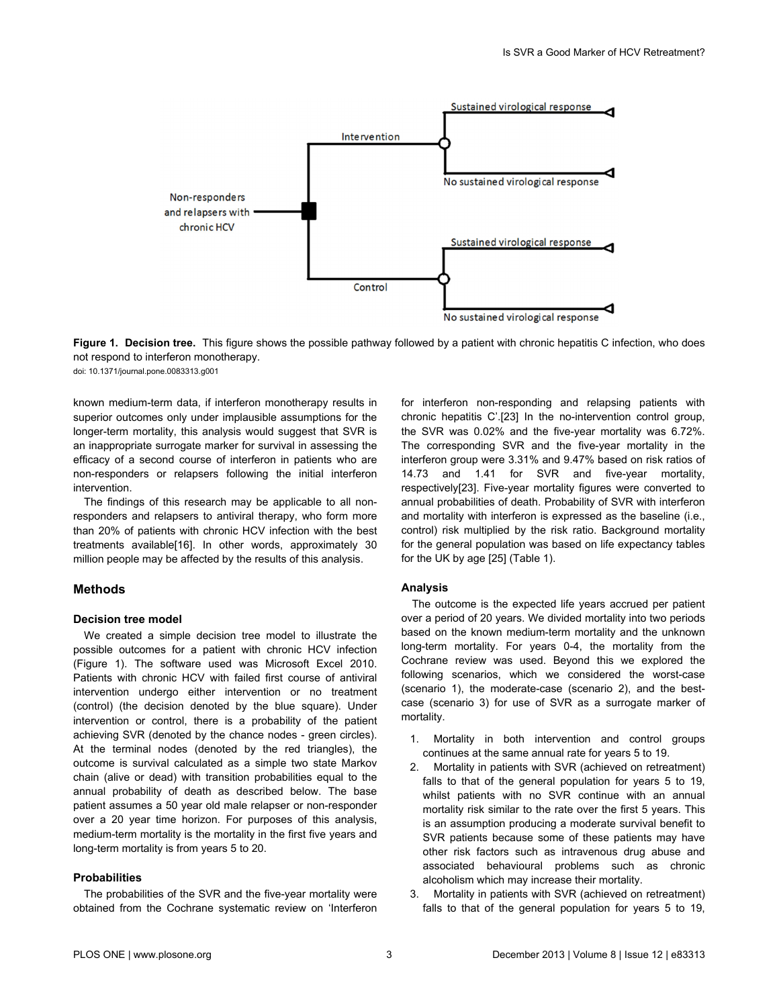

**Figure 1. Decision tree.** This figure shows the possible pathway followed by a patient with chronic hepatitis C infection, who does not respond to interferon monotherapy.

doi: 10.1371/journal.pone.0083313.g001

known medium-term data, if interferon monotherapy results in superior outcomes only under implausible assumptions for the longer-term mortality, this analysis would suggest that SVR is an inappropriate surrogate marker for survival in assessing the efficacy of a second course of interferon in patients who are non-responders or relapsers following the initial interferon intervention.

The findings of this research may be applicable to all nonresponders and relapsers to antiviral therapy, who form more than 20% of patients with chronic HCV infection with the best treatments available[\[16\]](#page-9-0). In other words, approximately 30 million people may be affected by the results of this analysis.

#### **Methods**

## **Decision tree model**

We created a simple decision tree model to illustrate the possible outcomes for a patient with chronic HCV infection (Figure 1). The software used was Microsoft Excel 2010. Patients with chronic HCV with failed first course of antiviral intervention undergo either intervention or no treatment (control) (the decision denoted by the blue square). Under intervention or control, there is a probability of the patient achieving SVR (denoted by the chance nodes - green circles). At the terminal nodes (denoted by the red triangles), the outcome is survival calculated as a simple two state Markov chain (alive or dead) with transition probabilities equal to the annual probability of death as described below. The base patient assumes a 50 year old male relapser or non-responder over a 20 year time horizon. For purposes of this analysis, medium-term mortality is the mortality in the first five years and long-term mortality is from years 5 to 20.

#### **Probabilities**

The probabilities of the SVR and the five-year mortality were obtained from the Cochrane systematic review on 'Interferon for interferon non-responding and relapsing patients with chronic hepatitis C'.[\[23](#page-9-0)] In the no-intervention control group, the SVR was 0.02% and the five-year mortality was 6.72%. The corresponding SVR and the five-year mortality in the interferon group were 3.31% and 9.47% based on risk ratios of 14.73 and 1.41 for SVR and five-year mortality, respectively[[23](#page-9-0)]. Five-year mortality figures were converted to annual probabilities of death. Probability of SVR with interferon and mortality with interferon is expressed as the baseline (i.e., control) risk multiplied by the risk ratio. Background mortality for the general population was based on life expectancy tables for the UK by age [\[25\]](#page-9-0) [\(Table 1\)](#page-3-0).

#### **Analysis**

The outcome is the expected life years accrued per patient over a period of 20 years. We divided mortality into two periods based on the known medium-term mortality and the unknown long-term mortality. For years 0-4, the mortality from the Cochrane review was used. Beyond this we explored the following scenarios, which we considered the worst-case (scenario 1), the moderate-case (scenario 2), and the bestcase (scenario 3) for use of SVR as a surrogate marker of mortality.

- 1. Mortality in both intervention and control groups continues at the same annual rate for years 5 to 19.
- 2. Mortality in patients with SVR (achieved on retreatment) falls to that of the general population for years 5 to 19, whilst patients with no SVR continue with an annual mortality risk similar to the rate over the first 5 years. This is an assumption producing a moderate survival benefit to SVR patients because some of these patients may have other risk factors such as intravenous drug abuse and associated behavioural problems such as chronic alcoholism which may increase their mortality.
- 3. Mortality in patients with SVR (achieved on retreatment) falls to that of the general population for years 5 to 19,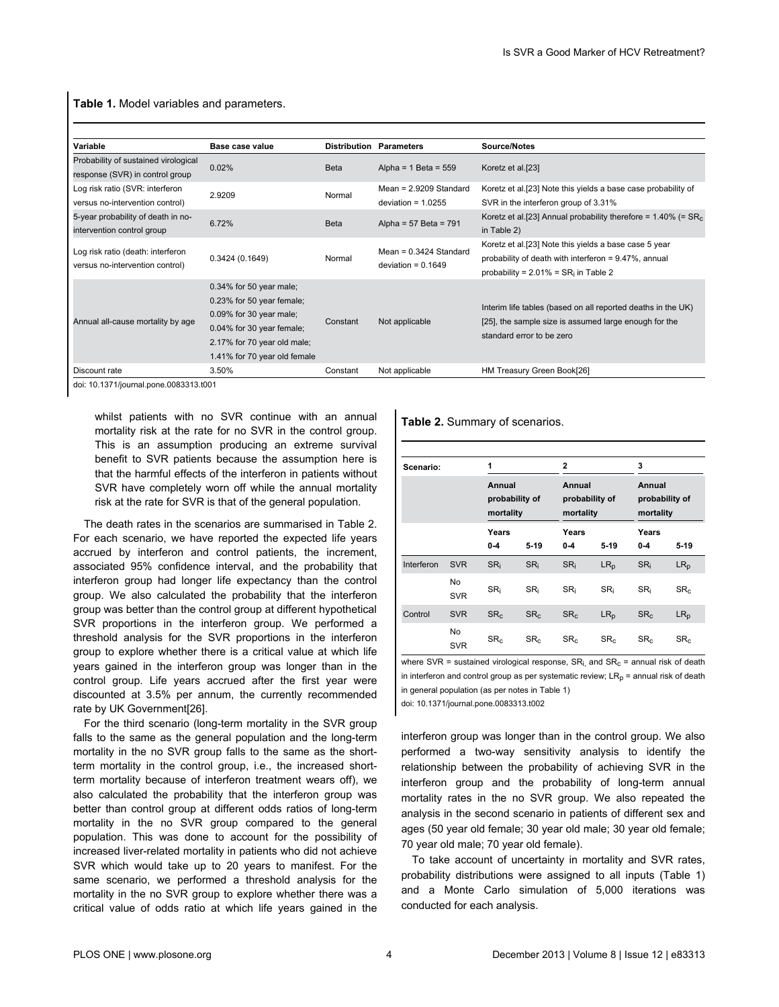<span id="page-3-0"></span>**Table 1.** Model variables and parameters.

| Variable                             | Base case value              |                                                              | <b>Distribution Parameters</b>                   | Source/Notes                                                                    |  |
|--------------------------------------|------------------------------|--------------------------------------------------------------|--------------------------------------------------|---------------------------------------------------------------------------------|--|
| Probability of sustained virological |                              | <b>Beta</b>                                                  |                                                  |                                                                                 |  |
| response (SVR) in control group      | 0.02%                        |                                                              | Alpha = $1$ Beta = $559$                         | Koretz et al.[23]                                                               |  |
| Log risk ratio (SVR: interferon      | 2.9209                       |                                                              | Mean = $2.9209$ Standard                         | Koretz et al.[23] Note this yields a base case probability of                   |  |
| versus no-intervention control)      |                              | Normal<br>deviation = $1.0255$                               | SVR in the interferon group of 3.31%             |                                                                                 |  |
| 5-year probability of death in no-   | 6.72%                        | <b>Beta</b>                                                  | Alpha = $57$ Beta = $791$                        | Koretz et al. [23] Annual probability therefore = $1.40\%$ (= SR <sub>c</sub> ) |  |
| intervention control group           |                              |                                                              |                                                  | in Table 2)                                                                     |  |
| Log risk ratio (death: interferon    | 0.3424(0.1649)               | Normal                                                       | Mean = $0.3424$ Standard<br>deviation = $0.1649$ | Koretz et al.[23] Note this yields a base case 5 year                           |  |
| versus no-intervention control)      |                              |                                                              |                                                  | probability of death with interferon = 9.47%, annual                            |  |
|                                      |                              |                                                              |                                                  | probability = $2.01\%$ = $SR_i$ in Table 2                                      |  |
|                                      | $0.34\%$ for 50 year male;   |                                                              |                                                  |                                                                                 |  |
|                                      | $0.23\%$ for 50 year female; | Interim life tables (based on all reported deaths in the UK) |                                                  |                                                                                 |  |
| Annual all-cause mortality by age    | $0.09\%$ for 30 year male;   | Constant                                                     | Not applicable                                   | [25], the sample size is assumed large enough for the                           |  |
|                                      | 0.04% for 30 year female;    |                                                              |                                                  | standard error to be zero                                                       |  |
|                                      | 2.17% for 70 year old male;  |                                                              |                                                  |                                                                                 |  |
|                                      | 1.41% for 70 year old female |                                                              |                                                  |                                                                                 |  |
| Discount rate                        | 3.50%                        | Constant                                                     | Not applicable                                   | HM Treasury Green Book[26]                                                      |  |

doi: 10.1371/journal.pone.0083313.t001

whilst patients with no SVR continue with an annual mortality risk at the rate for no SVR in the control group. This is an assumption producing an extreme survival benefit to SVR patients because the assumption here is that the harmful effects of the interferon in patients without SVR have completely worn off while the annual mortality risk at the rate for SVR is that of the general population.

The death rates in the scenarios are summarised in Table 2. For each scenario, we have reported the expected life years accrued by interferon and control patients, the increment, associated 95% confidence interval, and the probability that interferon group had longer life expectancy than the control group. We also calculated the probability that the interferon group was better than the control group at different hypothetical SVR proportions in the interferon group. We performed a threshold analysis for the SVR proportions in the interferon group to explore whether there is a critical value at which life years gained in the interferon group was longer than in the control group. Life years accrued after the first year were discounted at 3.5% per annum, the currently recommended rate by UK Government[\[26\]](#page-9-0).

For the third scenario (long-term mortality in the SVR group falls to the same as the general population and the long-term mortality in the no SVR group falls to the same as the shortterm mortality in the control group, i.e., the increased shortterm mortality because of interferon treatment wears off), we also calculated the probability that the interferon group was better than control group at different odds ratios of long-term mortality in the no SVR group compared to the general population. This was done to account for the possibility of increased liver-related mortality in patients who did not achieve SVR which would take up to 20 years to manifest. For the same scenario, we performed a threshold analysis for the mortality in the no SVR group to explore whether there was a critical value of odds ratio at which life years gained in the

#### **Table 2.** Summary of scenarios.

| Scenario:  |                         | 1                                     |                 | $\mathbf{2}$                          |                 | 3                                     |                 |
|------------|-------------------------|---------------------------------------|-----------------|---------------------------------------|-----------------|---------------------------------------|-----------------|
|            |                         | Annual<br>probability of<br>mortality |                 | Annual<br>probability of<br>mortality |                 | Annual<br>probability of<br>mortality |                 |
|            |                         | Years                                 |                 | Years                                 |                 | Years                                 |                 |
|            |                         | $0 - 4$                               | $5-19$          | $0-4$                                 | $5-19$          | $0 - 4$                               | $5-19$          |
| Interferon | <b>SVR</b>              | SR <sub>i</sub>                       | SR <sub>i</sub> | $SR_i$                                | LR <sub>p</sub> | SR <sub>i</sub>                       | LR <sub>p</sub> |
|            | <b>No</b><br><b>SVR</b> | SR <sub>i</sub>                       | SR <sub>i</sub> | SR <sub>i</sub>                       | SR <sub>i</sub> | SR <sub>i</sub>                       | SR <sub>c</sub> |
| Control    | <b>SVR</b>              | SR <sub>c</sub>                       | SR <sub>c</sub> | SR <sub>c</sub>                       | LR <sub>p</sub> | SR <sub>c</sub>                       | LR <sub>p</sub> |
|            | <b>No</b><br><b>SVR</b> | SR <sub>c</sub>                       | SR <sub>c</sub> | SR <sub>c</sub>                       | SR <sub>c</sub> | SR <sub>c</sub>                       | SR <sub>c</sub> |

where SVR = sustained virological response,  $SR_i$  and  $SR_c$  = annual risk of death in interferon and control group as per systematic review;  $LR_p$  = annual risk of death in general population (as per notes in Table 1)

doi: 10.1371/journal.pone.0083313.t002

interferon group was longer than in the control group. We also performed a two-way sensitivity analysis to identify the relationship between the probability of achieving SVR in the interferon group and the probability of long-term annual mortality rates in the no SVR group. We also repeated the analysis in the second scenario in patients of different sex and ages (50 year old female; 30 year old male; 30 year old female; 70 year old male; 70 year old female).

To take account of uncertainty in mortality and SVR rates, probability distributions were assigned to all inputs (Table 1) and a Monte Carlo simulation of 5,000 iterations was conducted for each analysis.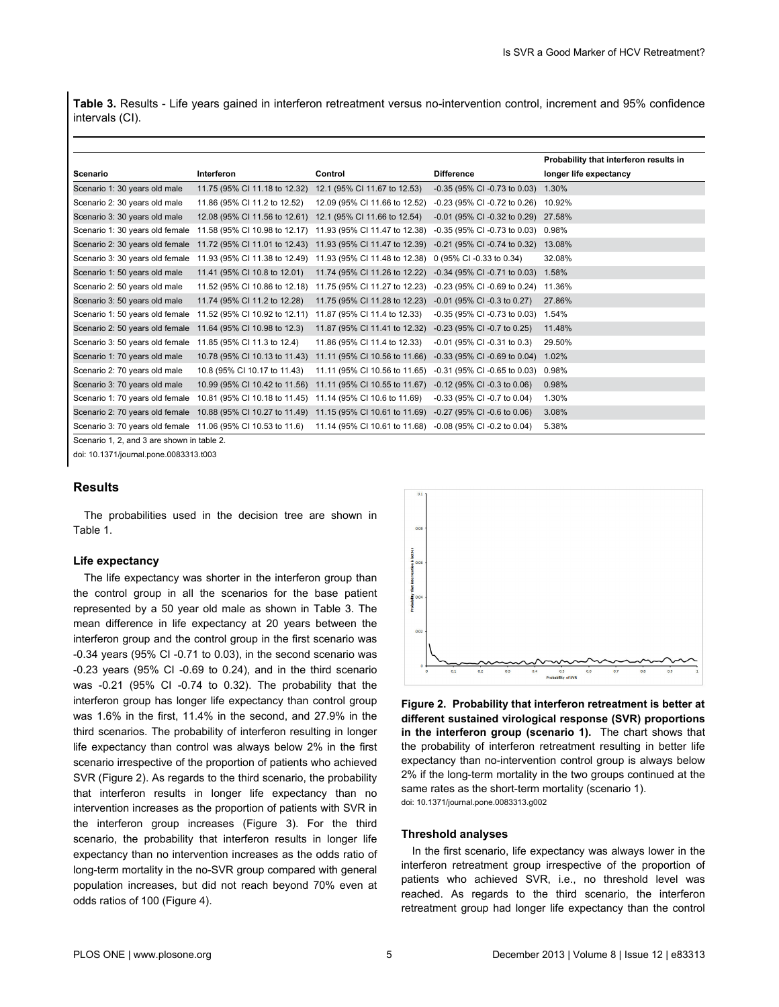<span id="page-4-0"></span>**Table 3.** Results - Life years gained in interferon retreatment versus no-intervention control, increment and 95% confidence intervals (CI).

|                                 |                                                            |                                                                                         |                                     | Probability that interferon results in |
|---------------------------------|------------------------------------------------------------|-----------------------------------------------------------------------------------------|-------------------------------------|----------------------------------------|
| Scenario                        | Interferon                                                 | Control                                                                                 | <b>Difference</b>                   | longer life expectancy                 |
| Scenario 1: 30 years old male   | 11.75 (95% CI 11.18 to 12.32)                              | 12.1 (95% CI 11.67 to 12.53)                                                            | -0.35 (95% CI -0.73 to 0.03)        | 1.30%                                  |
| Scenario 2: 30 years old male   | 11.86 (95% CI 11.2 to 12.52)                               | 12.09 (95% CI 11.66 to 12.52)                                                           | -0.23 (95% CI -0.72 to 0.26)        | 10.92%                                 |
| Scenario 3: 30 years old male   | 12.08 (95% CI 11.56 to 12.61) 12.1 (95% CI 11.66 to 12.54) |                                                                                         | -0.01 (95% CI -0.32 to 0.29) 27.58% |                                        |
| Scenario 1: 30 years old female |                                                            | 11.58 (95% CI 10.98 to 12.17) 11.93 (95% CI 11.47 to 12.38)                             | -0.35 (95% CI-0.73 to 0.03) 0.98%   |                                        |
| Scenario 2: 30 years old female |                                                            | 11.72 (95% CI 11.01 to 12.43) 11.93 (95% CI 11.47 to 12.39)                             | -0.21 (95% CI -0.74 to 0.32)        | 13.08%                                 |
| Scenario 3: 30 years old female |                                                            | 11.93 (95% CI 11.38 to 12.49) 11.93 (95% CI 11.48 to 12.38)                             | 0 (95% CI -0.33 to 0.34)            | 32.08%                                 |
| Scenario 1: 50 years old male   | 11.41 (95% CI 10.8 to 12.01)                               | 11.74 (95% CI 11.26 to 12.22)                                                           | -0.34 (95% CI -0.71 to 0.03)        | 1.58%                                  |
| Scenario 2: 50 years old male   |                                                            | 11.52 (95% CI 10.86 to 12.18) 11.75 (95% CI 11.27 to 12.23)                             | -0.23 (95% CI -0.69 to 0.24)        | 11.36%                                 |
| Scenario 3: 50 years old male   | 11.74 (95% CI 11.2 to 12.28)                               | 11.75 (95% CI 11.28 to 12.23)                                                           | -0.01 (95% CI -0.3 to 0.27)         | 27.86%                                 |
| Scenario 1: 50 years old female | 11.52 (95% CI 10.92 to 12.11)                              | 11.87 (95% CI 11.4 to 12.33)                                                            | -0.35 (95% CI -0.73 to 0.03)        | 1.54%                                  |
| Scenario 2: 50 years old female | 11.64 (95% CI 10.98 to 12.3)                               | 11.87 (95% CI 11.41 to 12.32)                                                           | -0.23 (95% CI -0.7 to 0.25)         | 11.48%                                 |
| Scenario 3: 50 years old female | 11.85 (95% CI 11.3 to 12.4)                                | 11.86 (95% CI 11.4 to 12.33)                                                            | -0.01 (95% CI -0.31 to 0.3)         | 29.50%                                 |
| Scenario 1: 70 years old male   | 10.78 (95% CI 10.13 to 11.43)                              | 11.11 (95% CI 10.56 to 11.66)                                                           | $-0.33$ (95% CI $-0.69$ to 0.04)    | 1.02%                                  |
| Scenario 2: 70 years old male   | 10.8 (95% CI 10.17 to 11.43)                               | 11.11 (95% CI 10.56 to 11.65)                                                           | $-0.31$ (95% CI $-0.65$ to 0.03)    | 0.98%                                  |
| Scenario 3: 70 years old male   |                                                            | 10.99 (95% CI 10.42 to 11.56) 11.11 (95% CI 10.55 to 11.67)                             | $-0.12$ (95% CI $-0.3$ to 0.06)     | 0.98%                                  |
| Scenario 1: 70 years old female | 10.81 (95% CI 10.18 to 11.45) 11.14 (95% CI 10.6 to 11.69) |                                                                                         | -0.33 (95% CI -0.7 to 0.04)         | 1.30%                                  |
| Scenario 2: 70 years old female |                                                            | 10.88 (95% CI 10.27 to 11.49) 11.15 (95% CI 10.61 to 11.69) -0.27 (95% CI -0.6 to 0.06) |                                     | 3.08%                                  |
| Scenario 3: 70 years old female | 11.06 (95% CI 10.53 to 11.6)                               | 11.14 (95% CI 10.61 to 11.68) -0.08 (95% CI -0.2 to 0.04)                               |                                     | 5.38%                                  |

doi: 10.1371/journal.pone.0083313.t003

## **Results**

The probabilities used in the decision tree are shown in [Table 1.](#page-3-0)

## **Life expectancy**

The life expectancy was shorter in the interferon group than the control group in all the scenarios for the base patient represented by a 50 year old male as shown in Table 3. The mean difference in life expectancy at 20 years between the interferon group and the control group in the first scenario was -0.34 years (95% CI -0.71 to 0.03), in the second scenario was -0.23 years (95% CI -0.69 to 0.24), and in the third scenario was -0.21 (95% CI -0.74 to 0.32). The probability that the interferon group has longer life expectancy than control group was 1.6% in the first, 11.4% in the second, and 27.9% in the third scenarios. The probability of interferon resulting in longer life expectancy than control was always below 2% in the first scenario irrespective of the proportion of patients who achieved SVR (Figure 2). As regards to the third scenario, the probability that interferon results in longer life expectancy than no intervention increases as the proportion of patients with SVR in the interferon group increases ([Figure 3\)](#page-5-0). For the third scenario, the probability that interferon results in longer life expectancy than no intervention increases as the odds ratio of long-term mortality in the no-SVR group compared with general population increases, but did not reach beyond 70% even at odds ratios of 100 [\(Figure 4\)](#page-5-0).



**Figure 2. Probability that interferon retreatment is better at different sustained virological response (SVR) proportions in the interferon group (scenario 1).** The chart shows that the probability of interferon retreatment resulting in better life expectancy than no-intervention control group is always below 2% if the long-term mortality in the two groups continued at the same rates as the short-term mortality (scenario 1). doi: 10.1371/journal.pone.0083313.g002

#### **Threshold analyses**

In the first scenario, life expectancy was always lower in the interferon retreatment group irrespective of the proportion of patients who achieved SVR, i.e., no threshold level was reached. As regards to the third scenario, the interferon retreatment group had longer life expectancy than the control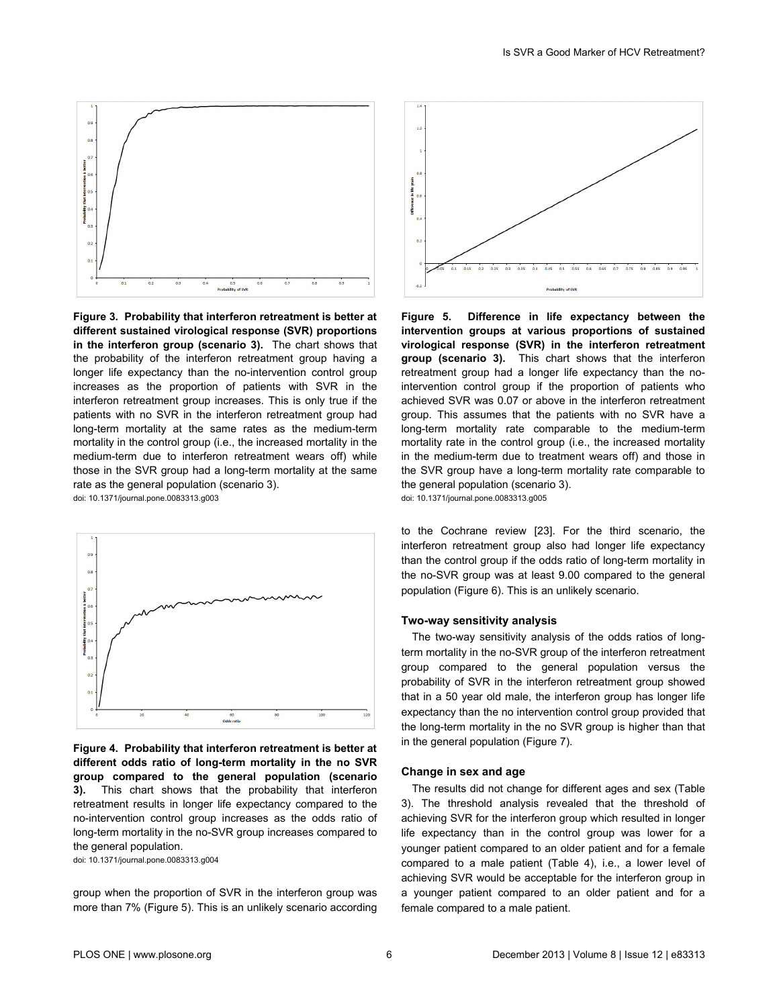<span id="page-5-0"></span>

**Figure 3. Probability that interferon retreatment is better at different sustained virological response (SVR) proportions in the interferon group (scenario 3).** The chart shows that the probability of the interferon retreatment group having a longer life expectancy than the no-intervention control group increases as the proportion of patients with SVR in the interferon retreatment group increases. This is only true if the patients with no SVR in the interferon retreatment group had long-term mortality at the same rates as the medium-term mortality in the control group (i.e., the increased mortality in the medium-term due to interferon retreatment wears off) while those in the SVR group had a long-term mortality at the same rate as the general population (scenario 3).

doi: 10.1371/journal.pone.0083313.g003



**Figure 4. Probability that interferon retreatment is better at different odds ratio of long-term mortality in the no SVR group compared to the general population (scenario 3).** This chart shows that the probability that interferon retreatment results in longer life expectancy compared to the no-intervention control group increases as the odds ratio of long-term mortality in the no-SVR group increases compared to the general population.

doi: 10.1371/journal.pone.0083313.g004

group when the proportion of SVR in the interferon group was more than 7% (Figure 5). This is an unlikely scenario according



**Figure 5. Difference in life expectancy between the intervention groups at various proportions of sustained virological response (SVR) in the interferon retreatment group (scenario 3).** This chart shows that the interferon retreatment group had a longer life expectancy than the nointervention control group if the proportion of patients who achieved SVR was 0.07 or above in the interferon retreatment group. This assumes that the patients with no SVR have a long-term mortality rate comparable to the medium-term mortality rate in the control group (i.e., the increased mortality in the medium-term due to treatment wears off) and those in the SVR group have a long-term mortality rate comparable to the general population (scenario 3). doi: 10.1371/journal.pone.0083313.g005

to the Cochrane review [\[23\]](#page-9-0). For the third scenario, the interferon retreatment group also had longer life expectancy than the control group if the odds ratio of long-term mortality in the no-SVR group was at least 9.00 compared to the general population ([Figure 6](#page-6-0)). This is an unlikely scenario.

## **Two-way sensitivity analysis**

The two-way sensitivity analysis of the odds ratios of longterm mortality in the no-SVR group of the interferon retreatment group compared to the general population versus the probability of SVR in the interferon retreatment group showed that in a 50 year old male, the interferon group has longer life expectancy than the no intervention control group provided that the long-term mortality in the no SVR group is higher than that in the general population ([Figure 7\)](#page-6-0).

#### **Change in sex and age**

The results did not change for different ages and sex [\(Table](#page-4-0) [3](#page-4-0)). The threshold analysis revealed that the threshold of achieving SVR for the interferon group which resulted in longer life expectancy than in the control group was lower for a younger patient compared to an older patient and for a female compared to a male patient ([Table 4](#page-6-0)), i.e., a lower level of achieving SVR would be acceptable for the interferon group in a younger patient compared to an older patient and for a female compared to a male patient.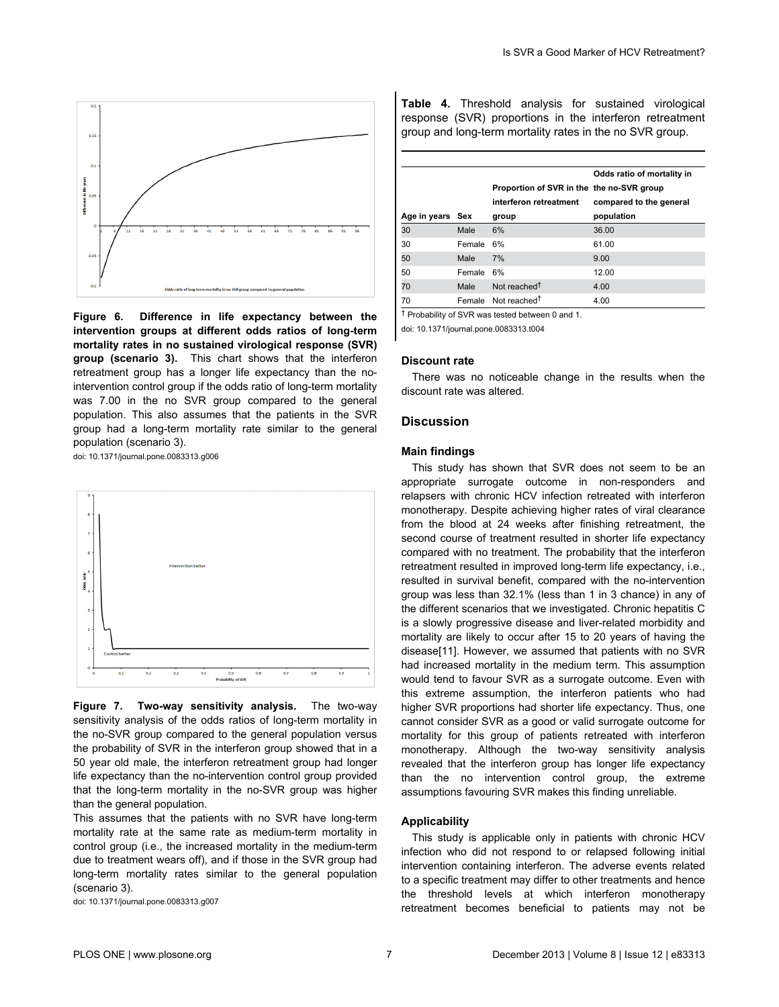<span id="page-6-0"></span>

**Figure 6. Difference in life expectancy between the intervention groups at different odds ratios of long-term mortality rates in no sustained virological response (SVR) group (scenario 3).** This chart shows that the interferon retreatment group has a longer life expectancy than the nointervention control group if the odds ratio of long-term mortality was 7.00 in the no SVR group compared to the general population. This also assumes that the patients in the SVR group had a long-term mortality rate similar to the general population (scenario 3).

doi: 10.1371/journal.pone.0083313.g006



**Figure 7. Two-way sensitivity analysis.** The two-way sensitivity analysis of the odds ratios of long-term mortality in the no-SVR group compared to the general population versus the probability of SVR in the interferon group showed that in a 50 year old male, the interferon retreatment group had longer life expectancy than the no-intervention control group provided that the long-term mortality in the no-SVR group was higher than the general population.

This assumes that the patients with no SVR have long-term mortality rate at the same rate as medium-term mortality in control group (i.e., the increased mortality in the medium-term due to treatment wears off), and if those in the SVR group had long-term mortality rates similar to the general population (scenario 3).

doi: 10.1371/journal.pone.0083313.g007

**Table 4.** Threshold analysis for sustained virological response (SVR) proportions in the interferon retreatment group and long-term mortality rates in the no SVR group.

|                  |        |                                           | Odds ratio of mortality in |
|------------------|--------|-------------------------------------------|----------------------------|
|                  |        | Proportion of SVR in the the no-SVR group |                            |
|                  |        | interferon retreatment                    | compared to the general    |
| Age in years Sex |        | group                                     | population                 |
| 30               | Male   | 6%                                        | 36.00                      |
| 30               | Female | 6%                                        | 61.00                      |
| 50               | Male   | 7%                                        | 9.00                       |
| 50               | Female | 6%                                        | 12.00                      |
| 70               | Male   | Not reached <sup>†</sup>                  | 4.00                       |
| 70               |        | Female Not reached <sup>†</sup>           | 4.00                       |

doi: 10.1371/journal.pone.0083313.t004

#### **Discount rate**

There was no noticeable change in the results when the discount rate was altered.

## **Discussion**

## **Main findings**

This study has shown that SVR does not seem to be an appropriate surrogate outcome in non-responders and relapsers with chronic HCV infection retreated with interferon monotherapy. Despite achieving higher rates of viral clearance from the blood at 24 weeks after finishing retreatment, the second course of treatment resulted in shorter life expectancy compared with no treatment. The probability that the interferon retreatment resulted in improved long-term life expectancy, i.e., resulted in survival benefit, compared with the no-intervention group was less than 32.1% (less than 1 in 3 chance) in any of the different scenarios that we investigated. Chronic hepatitis C is a slowly progressive disease and liver-related morbidity and mortality are likely to occur after 15 to 20 years of having the disease[\[11\]](#page-9-0). However, we assumed that patients with no SVR had increased mortality in the medium term. This assumption would tend to favour SVR as a surrogate outcome. Even with this extreme assumption, the interferon patients who had higher SVR proportions had shorter life expectancy. Thus, one cannot consider SVR as a good or valid surrogate outcome for mortality for this group of patients retreated with interferon monotherapy. Although the two-way sensitivity analysis revealed that the interferon group has longer life expectancy than the no intervention control group, the extreme assumptions favouring SVR makes this finding unreliable.

#### **Applicability**

This study is applicable only in patients with chronic HCV infection who did not respond to or relapsed following initial intervention containing interferon. The adverse events related to a specific treatment may differ to other treatments and hence the threshold levels at which interferon monotherapy retreatment becomes beneficial to patients may not be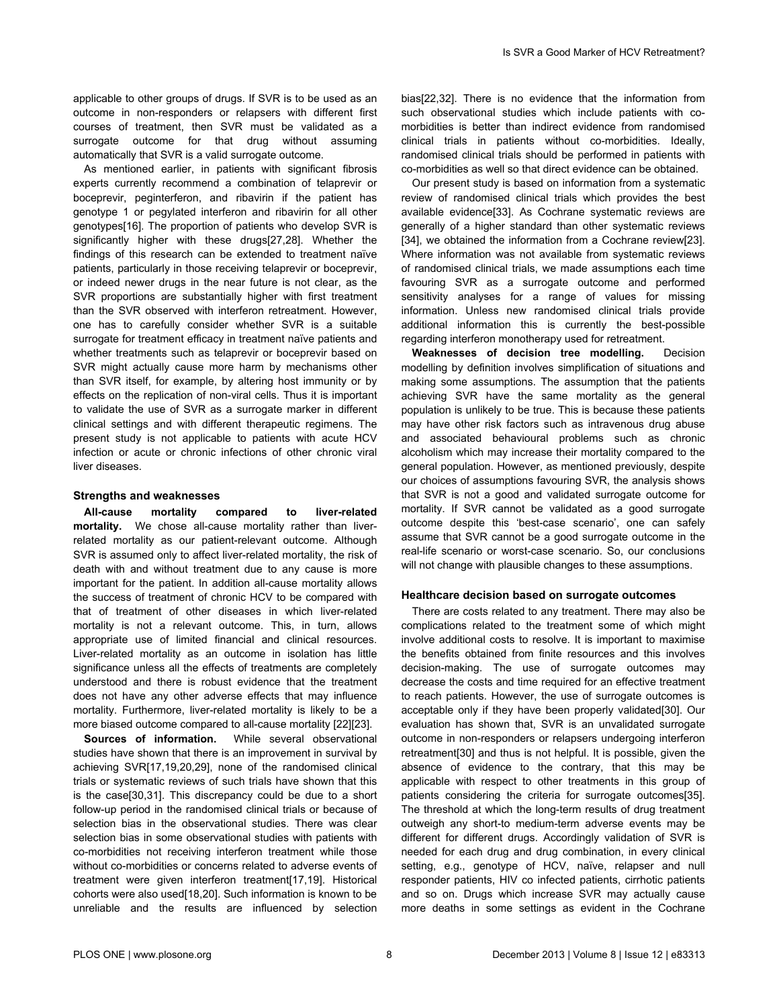applicable to other groups of drugs. If SVR is to be used as an outcome in non-responders or relapsers with different first courses of treatment, then SVR must be validated as a surrogate outcome for that drug without assuming automatically that SVR is a valid surrogate outcome.

As mentioned earlier, in patients with significant fibrosis experts currently recommend a combination of telaprevir or boceprevir, peginterferon, and ribavirin if the patient has genotype 1 or pegylated interferon and ribavirin for all other genotypes[\[16\]](#page-9-0). The proportion of patients who develop SVR is significantly higher with these drugs[[27,28\]](#page-9-0). Whether the findings of this research can be extended to treatment naïve patients, particularly in those receiving telaprevir or boceprevir, or indeed newer drugs in the near future is not clear, as the SVR proportions are substantially higher with first treatment than the SVR observed with interferon retreatment. However, one has to carefully consider whether SVR is a suitable surrogate for treatment efficacy in treatment naïve patients and whether treatments such as telaprevir or boceprevir based on SVR might actually cause more harm by mechanisms other than SVR itself, for example, by altering host immunity or by effects on the replication of non-viral cells. Thus it is important to validate the use of SVR as a surrogate marker in different clinical settings and with different therapeutic regimens. The present study is not applicable to patients with acute HCV infection or acute or chronic infections of other chronic viral liver diseases.

#### **Strengths and weaknesses**

**All-cause mortality compared to liver-related mortality.** We chose all-cause mortality rather than liverrelated mortality as our patient-relevant outcome. Although SVR is assumed only to affect liver-related mortality, the risk of death with and without treatment due to any cause is more important for the patient. In addition all-cause mortality allows the success of treatment of chronic HCV to be compared with that of treatment of other diseases in which liver-related mortality is not a relevant outcome. This, in turn, allows appropriate use of limited financial and clinical resources. Liver-related mortality as an outcome in isolation has little significance unless all the effects of treatments are completely understood and there is robust evidence that the treatment does not have any other adverse effects that may influence mortality. Furthermore, liver-related mortality is likely to be a more biased outcome compared to all-cause mortality [[22\]](#page-9-0)[[23](#page-9-0)].

**Sources of information.** While several observational studies have shown that there is an improvement in survival by achieving SVR[[17,19,20,29\]](#page-9-0), none of the randomised clinical trials or systematic reviews of such trials have shown that this is the case[[30,31\]](#page-9-0). This discrepancy could be due to a short follow-up period in the randomised clinical trials or because of selection bias in the observational studies. There was clear selection bias in some observational studies with patients with co-morbidities not receiving interferon treatment while those without co-morbidities or concerns related to adverse events of treatment were given interferon treatment[[17](#page-9-0),[19\]](#page-9-0). Historical cohorts were also used[\[18,20\]](#page-9-0). Such information is known to be unreliable and the results are influenced by selection

bias[\[22,32\]](#page-9-0). There is no evidence that the information from such observational studies which include patients with comorbidities is better than indirect evidence from randomised clinical trials in patients without co-morbidities. Ideally, randomised clinical trials should be performed in patients with co-morbidities as well so that direct evidence can be obtained.

Our present study is based on information from a systematic review of randomised clinical trials which provides the best available evidence[[33](#page-9-0)]. As Cochrane systematic reviews are generally of a higher standard than other systematic reviews [[34](#page-9-0)], we obtained the information from a Cochrane review[\[23\]](#page-9-0). Where information was not available from systematic reviews of randomised clinical trials, we made assumptions each time favouring SVR as a surrogate outcome and performed sensitivity analyses for a range of values for missing information. Unless new randomised clinical trials provide additional information this is currently the best-possible regarding interferon monotherapy used for retreatment.

**Weaknesses of decision tree modelling.** Decision modelling by definition involves simplification of situations and making some assumptions. The assumption that the patients achieving SVR have the same mortality as the general population is unlikely to be true. This is because these patients may have other risk factors such as intravenous drug abuse and associated behavioural problems such as chronic alcoholism which may increase their mortality compared to the general population. However, as mentioned previously, despite our choices of assumptions favouring SVR, the analysis shows that SVR is not a good and validated surrogate outcome for mortality. If SVR cannot be validated as a good surrogate outcome despite this 'best-case scenario', one can safely assume that SVR cannot be a good surrogate outcome in the real-life scenario or worst-case scenario. So, our conclusions will not change with plausible changes to these assumptions.

#### **Healthcare decision based on surrogate outcomes**

There are costs related to any treatment. There may also be complications related to the treatment some of which might involve additional costs to resolve. It is important to maximise the benefits obtained from finite resources and this involves decision-making. The use of surrogate outcomes may decrease the costs and time required for an effective treatment to reach patients. However, the use of surrogate outcomes is acceptable only if they have been properly validated[\[30\]](#page-9-0). Our evaluation has shown that, SVR is an unvalidated surrogate outcome in non-responders or relapsers undergoing interferon retreatment[\[30\]](#page-9-0) and thus is not helpful. It is possible, given the absence of evidence to the contrary, that this may be applicable with respect to other treatments in this group of patients considering the criteria for surrogate outcomes[\[35\]](#page-9-0). The threshold at which the long-term results of drug treatment outweigh any short-to medium-term adverse events may be different for different drugs. Accordingly validation of SVR is needed for each drug and drug combination, in every clinical setting, e.g., genotype of HCV, naïve, relapser and null responder patients, HIV co infected patients, cirrhotic patients and so on. Drugs which increase SVR may actually cause more deaths in some settings as evident in the Cochrane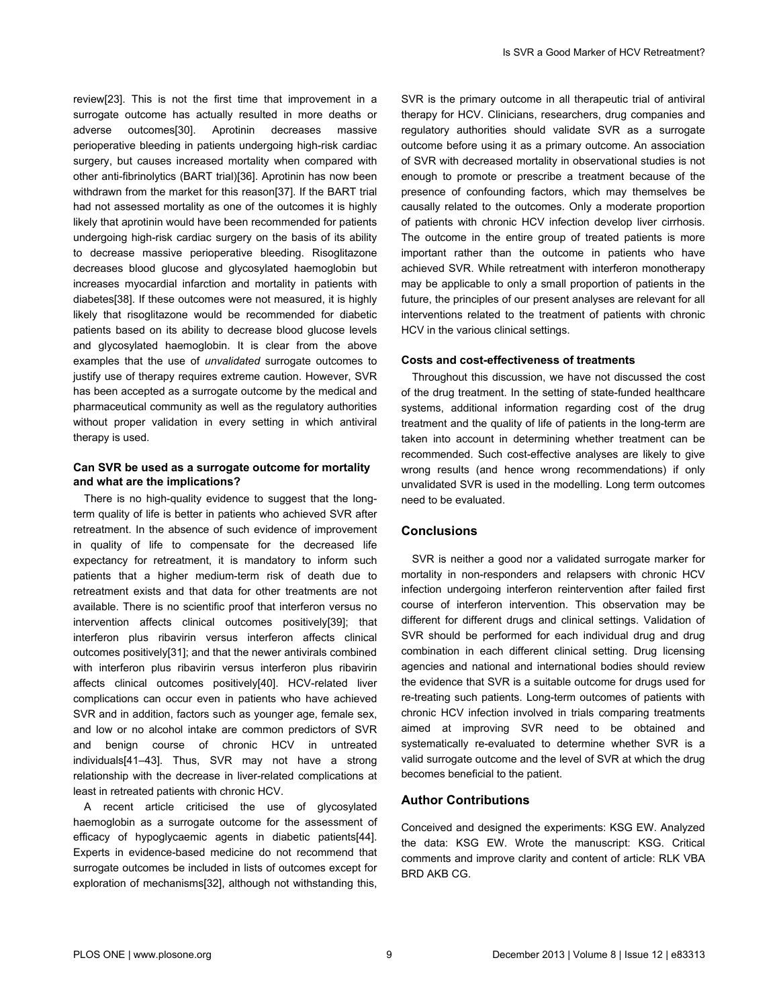review[[23\]](#page-9-0). This is not the first time that improvement in a surrogate outcome has actually resulted in more deaths or adverse outcomes[[30](#page-9-0)]. Aprotinin decreases massive perioperative bleeding in patients undergoing high-risk cardiac surgery, but causes increased mortality when compared with other anti-fibrinolytics (BART trial)[[36](#page-9-0)]. Aprotinin has now been withdrawn from the market for this reason[[37\]](#page-9-0). If the BART trial had not assessed mortality as one of the outcomes it is highly likely that aprotinin would have been recommended for patients undergoing high-risk cardiac surgery on the basis of its ability to decrease massive perioperative bleeding. Risoglitazone decreases blood glucose and glycosylated haemoglobin but increases myocardial infarction and mortality in patients with diabetes[\[38\]](#page-9-0). If these outcomes were not measured, it is highly likely that risoglitazone would be recommended for diabetic patients based on its ability to decrease blood glucose levels and glycosylated haemoglobin. It is clear from the above examples that the use of *unvalidated* surrogate outcomes to justify use of therapy requires extreme caution. However, SVR has been accepted as a surrogate outcome by the medical and pharmaceutical community as well as the regulatory authorities without proper validation in every setting in which antiviral therapy is used.

## **Can SVR be used as a surrogate outcome for mortality and what are the implications?**

There is no high-quality evidence to suggest that the longterm quality of life is better in patients who achieved SVR after retreatment. In the absence of such evidence of improvement in quality of life to compensate for the decreased life expectancy for retreatment, it is mandatory to inform such patients that a higher medium-term risk of death due to retreatment exists and that data for other treatments are not available. There is no scientific proof that interferon versus no intervention affects clinical outcomes positively[[39](#page-9-0)]; that interferon plus ribavirin versus interferon affects clinical outcomes positively[\[31\]](#page-9-0); and that the newer antivirals combined with interferon plus ribavirin versus interferon plus ribavirin affects clinical outcomes positively[[40](#page-9-0)]. HCV-related liver complications can occur even in patients who have achieved SVR and in addition, factors such as younger age, female sex, and low or no alcohol intake are common predictors of SVR and benign course of chronic HCV in untreated individuals[[41](#page-10-0)–[43](#page-10-0)]. Thus, SVR may not have a strong relationship with the decrease in liver-related complications at least in retreated patients with chronic HCV.

A recent article criticised the use of glycosylated haemoglobin as a surrogate outcome for the assessment of efficacy of hypoglycaemic agents in diabetic patients[\[44\]](#page-10-0). Experts in evidence-based medicine do not recommend that surrogate outcomes be included in lists of outcomes except for exploration of mechanisms[[32](#page-9-0)], although not withstanding this,

SVR is the primary outcome in all therapeutic trial of antiviral therapy for HCV. Clinicians, researchers, drug companies and regulatory authorities should validate SVR as a surrogate outcome before using it as a primary outcome. An association of SVR with decreased mortality in observational studies is not enough to promote or prescribe a treatment because of the presence of confounding factors, which may themselves be causally related to the outcomes. Only a moderate proportion of patients with chronic HCV infection develop liver cirrhosis. The outcome in the entire group of treated patients is more important rather than the outcome in patients who have achieved SVR. While retreatment with interferon monotherapy may be applicable to only a small proportion of patients in the future, the principles of our present analyses are relevant for all interventions related to the treatment of patients with chronic HCV in the various clinical settings.

## **Costs and cost-effectiveness of treatments**

Throughout this discussion, we have not discussed the cost of the drug treatment. In the setting of state-funded healthcare systems, additional information regarding cost of the drug treatment and the quality of life of patients in the long-term are taken into account in determining whether treatment can be recommended. Such cost-effective analyses are likely to give wrong results (and hence wrong recommendations) if only unvalidated SVR is used in the modelling. Long term outcomes need to be evaluated.

## **Conclusions**

SVR is neither a good nor a validated surrogate marker for mortality in non-responders and relapsers with chronic HCV infection undergoing interferon reintervention after failed first course of interferon intervention. This observation may be different for different drugs and clinical settings. Validation of SVR should be performed for each individual drug and drug combination in each different clinical setting. Drug licensing agencies and national and international bodies should review the evidence that SVR is a suitable outcome for drugs used for re-treating such patients. Long-term outcomes of patients with chronic HCV infection involved in trials comparing treatments aimed at improving SVR need to be obtained and systematically re-evaluated to determine whether SVR is a valid surrogate outcome and the level of SVR at which the drug becomes beneficial to the patient.

## **Author Contributions**

Conceived and designed the experiments: KSG EW. Analyzed the data: KSG EW. Wrote the manuscript: KSG. Critical comments and improve clarity and content of article: RLK VBA BRD AKB CG.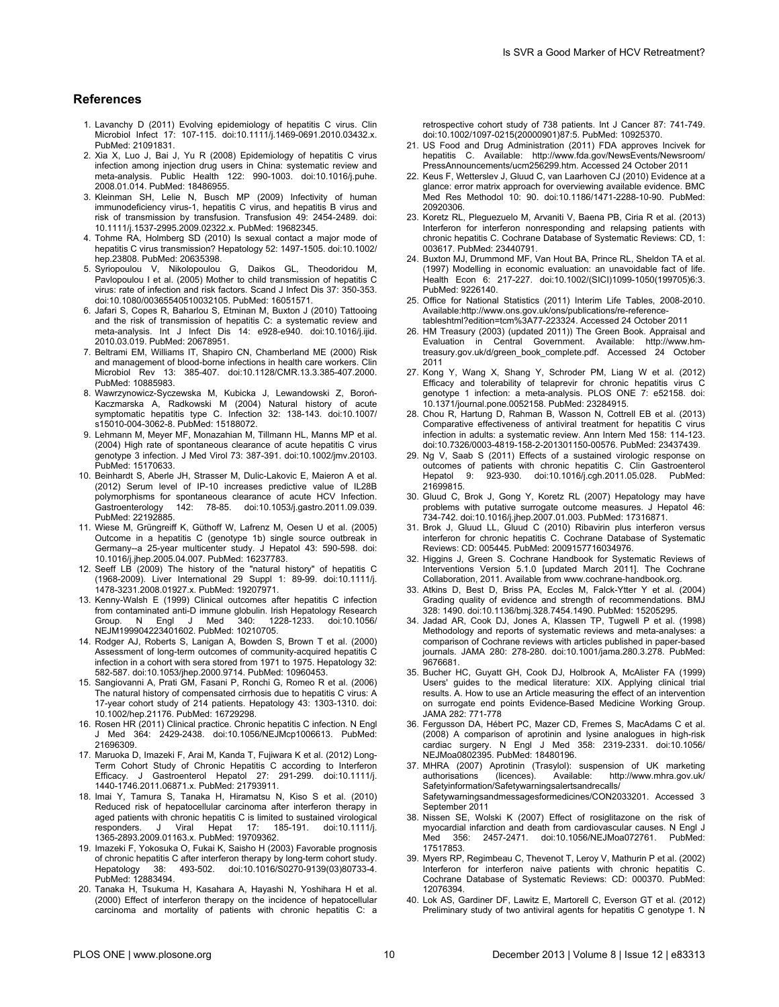#### <span id="page-9-0"></span>**References**

- 1. Lavanchy D (2011) Evolving epidemiology of hepatitis C virus. Clin Microbiol Infect 17: 107-115. doi:[10.1111/j.1469-0691.2010.03432.x.](http://dx.doi.org/10.1111/j.1469-0691.2010.03432.x) PubMed: [21091831.](http://www.ncbi.nlm.nih.gov/pubmed/21091831)
- 2. Xia X, Luo J, Bai J, Yu R (2008) Epidemiology of hepatitis C virus infection among injection drug users in China: systematic review and meta-analysis. Public Health 122: 990-1003. doi[:10.1016/j.puhe.](http://dx.doi.org/10.1016/j.puhe.2008.01.014) [2008.01.014.](http://dx.doi.org/10.1016/j.puhe.2008.01.014) PubMed: [18486955.](http://www.ncbi.nlm.nih.gov/pubmed/18486955)
- 3. Kleinman SH, Lelie N, Busch MP (2009) Infectivity of human immunodeficiency virus-1, hepatitis C virus, and hepatitis B virus and risk of transmission by transfusion. Transfusion 49: 2454-2489. doi: [10.1111/j.1537-2995.2009.02322.x](http://dx.doi.org/10.1111/j.1537-2995.2009.02322.x). PubMed: [19682345](http://www.ncbi.nlm.nih.gov/pubmed/19682345).
- 4. Tohme RA, Holmberg SD (2010) Is sexual contact a major mode of hepatitis C virus transmission? Hepatology 52: 1497-1505. doi[:10.1002/](http://dx.doi.org/10.1002/hep.23808) [hep.23808.](http://dx.doi.org/10.1002/hep.23808) PubMed: [20635398.](http://www.ncbi.nlm.nih.gov/pubmed/20635398)
- 5. Syriopoulou V, Nikolopoulou G, Daikos GL, Theodoridou M, Pavlopoulou I et al. (2005) Mother to child transmission of hepatitis C virus: rate of infection and risk factors. Scand J Infect Dis 37: 350-353. doi:[10.1080/00365540510032105](http://dx.doi.org/10.1080/00365540510032105). PubMed: [16051571](http://www.ncbi.nlm.nih.gov/pubmed/16051571).
- 6. Jafari S, Copes R, Baharlou S, Etminan M, Buxton J (2010) Tattooing and the risk of transmission of hepatitis C: a systematic review and meta-analysis. Int J Infect Dis 14: e928-e940. doi[:10.1016/j.ijid.](http://dx.doi.org/10.1016/j.ijid.2010.03.019) [2010.03.019.](http://dx.doi.org/10.1016/j.ijid.2010.03.019) PubMed: [20678951.](http://www.ncbi.nlm.nih.gov/pubmed/20678951)
- 7. Beltrami EM, Williams IT, Shapiro CN, Chamberland ME (2000) Risk and management of blood-borne infections in health care workers. Clin Microbiol Rev 13: 385-407. doi:[10.1128/CMR.13.3.385-407.2000.](http://dx.doi.org/10.1128/CMR.13.3.385-407.2000) PubMed: [10885983.](http://www.ncbi.nlm.nih.gov/pubmed/10885983)
- 8. Wawrzynowicz-Syczewska M, Kubicka J, Lewandowski Z, Boroń-Kaczmarska A, Radkowski M (2004) Natural history of acute symptomatic hepatitis type C. Infection 32: 138-143. doi[:10.1007/](http://dx.doi.org/10.1007/s15010-004-3062-8) [s15010-004-3062-8.](http://dx.doi.org/10.1007/s15010-004-3062-8) PubMed: [15188072.](http://www.ncbi.nlm.nih.gov/pubmed/15188072)
- 9. Lehmann M, Meyer MF, Monazahian M, Tillmann HL, Manns MP et al. (2004) High rate of spontaneous clearance of acute hepatitis C virus genotype 3 infection. J Med Virol 73: 387-391. doi:[10.1002/jmv.20103.](http://dx.doi.org/10.1002/jmv.20103) PubMed: [15170633.](http://www.ncbi.nlm.nih.gov/pubmed/15170633)
- 10. Beinhardt S, Aberle JH, Strasser M, Dulic-Lakovic E, Maieron A et al. (2012) Serum level of IP-10 increases predictive value of IL28B polymorphisms for spontaneous clearance of acute HCV Infection. Gastroenterology 142: 78-85. doi[:10.1053/j.gastro.2011.09.039.](http://dx.doi.org/10.1053/j.gastro.2011.09.039) PubMed: [22192885.](http://www.ncbi.nlm.nih.gov/pubmed/22192885)
- 11. Wiese M, Grüngreiff K, Güthoff W, Lafrenz M, Oesen U et al. (2005) Outcome in a hepatitis C (genotype 1b) single source outbreak in Germany--a 25-year multicenter study. J Hepatol 43: 590-598. doi: [10.1016/j.jhep.2005.04.007](http://dx.doi.org/10.1016/j.jhep.2005.04.007). PubMed: [16237783](http://www.ncbi.nlm.nih.gov/pubmed/16237783).
- 12. Seeff LB (2009) The history of the "natural history" of hepatitis C (1968-2009). Liver International 29 Suppl 1: 89-99. doi:[10.1111/j.](http://dx.doi.org/10.1111/j.1478-3231.2008.01927.x) [1478-3231.2008.01927.x](http://dx.doi.org/10.1111/j.1478-3231.2008.01927.x). PubMed: [19207971](http://www.ncbi.nlm.nih.gov/pubmed/19207971).
- 13. Kenny-Walsh E (1999) Clinical outcomes after hepatitis C infection from contaminated anti-D immune globulin. Irish Hepatology Research<br>Group. N Engl J Med 340: 1228-1233. doi:10.1056/ Group. N  $Engl$  J Med  $340$ : [NEJM199904223401602](http://dx.doi.org/10.1056/NEJM199904223401602). PubMed: [10210705](http://www.ncbi.nlm.nih.gov/pubmed/10210705).
- 14. Rodger AJ, Roberts S, Lanigan A, Bowden S, Brown T et al. (2000) Assessment of long-term outcomes of community-acquired hepatitis C infection in a cohort with sera stored from 1971 to 1975. Hepatology 32: 582-587. doi[:10.1053/jhep.2000.9714.](http://dx.doi.org/10.1053/jhep.2000.9714) PubMed: [10960453.](http://www.ncbi.nlm.nih.gov/pubmed/10960453)
- 15. Sangiovanni A, Prati GM, Fasani P, Ronchi G, Romeo R et al. (2006) The natural history of compensated cirrhosis due to hepatitis C virus: A 17-year cohort study of 214 patients. Hepatology 43: 1303-1310. doi: [10.1002/hep.21176.](http://dx.doi.org/10.1002/hep.21176) PubMed: [16729298.](http://www.ncbi.nlm.nih.gov/pubmed/16729298)
- 16. Rosen HR (2011) Clinical practice. Chronic hepatitis C infection. N Engl J Med 364: 2429-2438. doi:[10.1056/NEJMcp1006613.](http://dx.doi.org/10.1056/NEJMcp1006613) PubMed: [21696309.](http://www.ncbi.nlm.nih.gov/pubmed/21696309)
- 17. Maruoka D, Imazeki F, Arai M, Kanda T, Fujiwara K et al. (2012) Long-Term Cohort Study of Chronic Hepatitis C according to Interferon Efficacy. J Gastroenterol Hepatol 27: 291-299. doi:[10.1111/j.](http://dx.doi.org/10.1111/j.1440-1746.2011.06871.x) [1440-1746.2011.06871.x](http://dx.doi.org/10.1111/j.1440-1746.2011.06871.x). PubMed: [21793911](http://www.ncbi.nlm.nih.gov/pubmed/21793911).
- 18. Imai Y, Tamura S, Tanaka H, Hiramatsu N, Kiso S et al. (2010) Reduced risk of hepatocellular carcinoma after interferon therapy in aged patients with chronic hepatitis C is limited to sustained virological<br>responders. J Viral Hepat 17: 185-191. doi:10.1111/i. responders. J Viral Hepat 17: 185-191. doi:[10.1111/j.](http://dx.doi.org/10.1111/j.1365-2893.2009.01163.x) [1365-2893.2009.01163.x](http://dx.doi.org/10.1111/j.1365-2893.2009.01163.x). PubMed: [19709362](http://www.ncbi.nlm.nih.gov/pubmed/19709362).
- 19. Imazeki F, Yokosuka O, Fukai K, Saisho H (2003) Favorable prognosis of chronic hepatitis C after interferon therapy by long-term cohort study. Hepatology 38: 493-502. doi[:10.1016/S0270-9139\(03\)80733-4.](http://dx.doi.org/10.1016/S0270-9139(03)80733-4) PubMed: [12883494.](http://www.ncbi.nlm.nih.gov/pubmed/12883494)
- 20. Tanaka H, Tsukuma H, Kasahara A, Hayashi N, Yoshihara H et al. (2000) Effect of interferon therapy on the incidence of hepatocellular carcinoma and mortality of patients with chronic hepatitis C: a

retrospective cohort study of 738 patients. Int J Cancer 87: 741-749. doi:[10.1002/1097-0215\(20000901\)87:5.](http://dx.doi.org/10.1002/1097-0215(20000901)87:5) PubMed: [10925370.](http://www.ncbi.nlm.nih.gov/pubmed/10925370)

- 21. US Food and Drug Administration (2011) FDA approves Incivek for hepatitis C. Available: [http://www.fda.gov/NewsEvents/Newsroom/](http://www.fda.gov/NewsEvents/Newsroom/PressAnnouncements/ucm256299.htm) [PressAnnouncements/ucm256299.htm](http://www.fda.gov/NewsEvents/Newsroom/PressAnnouncements/ucm256299.htm). Accessed 24 October 2011
- 22. Keus F, Wetterslev J, Gluud C, van Laarhoven CJ (2010) Evidence at a glance: error matrix approach for overviewing available evidence. BMC Med Res Methodol 10: 90. doi[:10.1186/1471-2288-10-90](http://dx.doi.org/10.1186/1471-2288-10-90). PubMed: [20920306.](http://www.ncbi.nlm.nih.gov/pubmed/20920306)
- 23. Koretz RL, Pleguezuelo M, Arvaniti V, Baena PB, Ciria R et al. (2013) Interferon for interferon nonresponding and relapsing patients with chronic hepatitis C. Cochrane Database of Systematic Reviews: CD, 1: 003617. PubMed: [23440791.](http://www.ncbi.nlm.nih.gov/pubmed/23440791)
- 24. Buxton MJ, Drummond MF, Van Hout BA, Prince RL, Sheldon TA et al. (1997) Modelling in economic evaluation: an unavoidable fact of life. Health Econ 6: 217-227. doi:[10.1002/\(SICI\)1099-1050\(199705\)6:3](http://dx.doi.org/10.1002/(SICI)1099-1050(199705)6:3). PubMed: [9226140.](http://www.ncbi.nlm.nih.gov/pubmed/9226140)
- 25. Office for National Statistics (2011) Interim Life Tables, 2008-2010. Available:[http://www.ons.gov.uk/ons/publications/re-reference](http://www.ons.gov.uk/ons/publications/re-reference-tableshtml?edition=tcm%3A77-223324)[tableshtml?edition=tcm%3A77-223324.](http://www.ons.gov.uk/ons/publications/re-reference-tableshtml?edition=tcm%3A77-223324) Accessed 24 October 2011
- 26. HM Treasury (2003) (updated 2011)) The Green Book. Appraisal and Evaluation in Central Government. Available: [http://www.hm](http://www.hm-treasury.gov.uk/d/green_book_complete.pdf)[treasury.gov.uk/d/green\\_book\\_complete.pdf](http://www.hm-treasury.gov.uk/d/green_book_complete.pdf). Accessed 24 October 2011
- 27. Kong Y, Wang X, Shang Y, Schroder PM, Liang W et al. (2012) Efficacy and tolerability of telaprevir for chronic hepatitis virus C genotype 1 infection: a meta-analysis. PLOS ONE 7: e52158. doi: [10.1371/journal.pone.0052158](http://dx.doi.org/10.1371/journal.pone.0052158). PubMed: [23284915](http://www.ncbi.nlm.nih.gov/pubmed/23284915).
- 28. Chou R, Hartung D, Rahman B, Wasson N, Cottrell EB et al. (2013) Comparative effectiveness of antiviral treatment for hepatitis C virus infection in adults: a systematic review. Ann Intern Med 158: 114-123. doi:[10.7326/0003-4819-158-2-201301150-00576.](http://dx.doi.org/10.7326/0003-4819-158-2-201301150-00576) PubMed: [23437439.](http://www.ncbi.nlm.nih.gov/pubmed/23437439)
- 29. Ng V, Saab S (2011) Effects of a sustained virologic response on outcomes of patients with chronic hepatitis C. Clin Gastroenterol Hepatol 9: 923-930. doi[:10.1016/j.cgh.2011.05.028](http://dx.doi.org/10.1016/j.cgh.2011.05.028). PubMed: [21699815.](http://www.ncbi.nlm.nih.gov/pubmed/21699815)
- 30. Gluud C, Brok J, Gong Y, Koretz RL (2007) Hepatology may have problems with putative surrogate outcome measures. J Hepatol 46: 734-742. doi[:10.1016/j.jhep.2007.01.003](http://dx.doi.org/10.1016/j.jhep.2007.01.003). PubMed: [17316871](http://www.ncbi.nlm.nih.gov/pubmed/17316871).
- 31. Brok J, Gluud LL, Gluud C (2010) Ribavirin plus interferon versus interferon for chronic hepatitis C. Cochrane Database of Systematic Reviews: CD: 005445. PubMed: [2009157716034976](http://www.ncbi.nlm.nih.gov/pubmed/2009157716034976).
- 32. Higgins J, Green S. Cochrane Handbook for Systematic Reviews of Interventions Version 5.1.0 [updated March 2011]. The Cochrane Collaboration, 2011. Available from [www.cochrane-handbook.org](http://www.cochrane-handbook.org).
- 33. Atkins D, Best D, Briss PA, Eccles M, Falck-Ytter Y et al. (2004) Grading quality of evidence and strength of recommendations. BMJ 328: 1490. doi:[10.1136/bmj.328.7454.1490](http://dx.doi.org/10.1136/bmj.328.7454.1490). PubMed: [15205295.](http://www.ncbi.nlm.nih.gov/pubmed/15205295)
- 34. Jadad AR, Cook DJ, Jones A, Klassen TP, Tugwell P et al. (1998) Methodology and reports of systematic reviews and meta-analyses: a comparison of Cochrane reviews with articles published in paper-based journals. JAMA 280: 278-280. doi[:10.1001/jama.280.3.278.](http://dx.doi.org/10.1001/jama.280.3.278) PubMed: [9676681.](http://www.ncbi.nlm.nih.gov/pubmed/9676681)
- 35. Bucher HC, Guyatt GH, Cook DJ, Holbrook A, McAlister FA (1999) Users' guides to the medical literature: XIX. Applying clinical trial results. A. How to use an Article measuring the effect of an intervention on surrogate end points Evidence-Based Medicine Working Group. JAMA 282: 771-778
- 36. Fergusson DA, Hébert PC, Mazer CD, Fremes S, MacAdams C et al. (2008) A comparison of aprotinin and lysine analogues in high-risk cardiac surgery. N Engl J Med 358: 2319-2331. doi[:10.1056/](http://dx.doi.org/10.1056/NEJMoa0802395) [NEJMoa0802395.](http://dx.doi.org/10.1056/NEJMoa0802395) PubMed: [18480196.](http://www.ncbi.nlm.nih.gov/pubmed/18480196)
- 37. MHRA (2007) Aprotinin (Trasylol): suspension of UK marketing (licences). Available: [http://www.mhra.gov.uk/](http://www.mhra.gov.uk/Safetyinformation/Safetywarningsalertsandrecalls/Safetywarningsandmessagesformedicines/CON2033201) [Safetyinformation/Safetywarningsalertsandrecalls/](http://www.mhra.gov.uk/Safetyinformation/Safetywarningsalertsandrecalls/Safetywarningsandmessagesformedicines/CON2033201) [Safetywarningsandmessagesformedicines/CON2033201](http://www.mhra.gov.uk/Safetyinformation/Safetywarningsalertsandrecalls/Safetywarningsandmessagesformedicines/CON2033201). Accessed 3 September 2011
- 38. Nissen SE, Wolski K (2007) Effect of rosiglitazone on the risk of myocardial infarction and death from cardiovascular causes. N Engl J Med 356: 2457-2471. doi:[10.1056/NEJMoa072761](http://dx.doi.org/10.1056/NEJMoa072761). PubMed: [17517853.](http://www.ncbi.nlm.nih.gov/pubmed/17517853)
- 39. Myers RP, Regimbeau C, Thevenot T, Leroy V, Mathurin P et al. (2002) Interferon for interferon naive patients with chronic hepatitis C. Cochrane Database of Systematic Reviews: CD: 000370. PubMed: [12076394.](http://www.ncbi.nlm.nih.gov/pubmed/12076394)
- 40. Lok AS, Gardiner DF, Lawitz E, Martorell C, Everson GT et al. (2012) Preliminary study of two antiviral agents for hepatitis C genotype 1. N